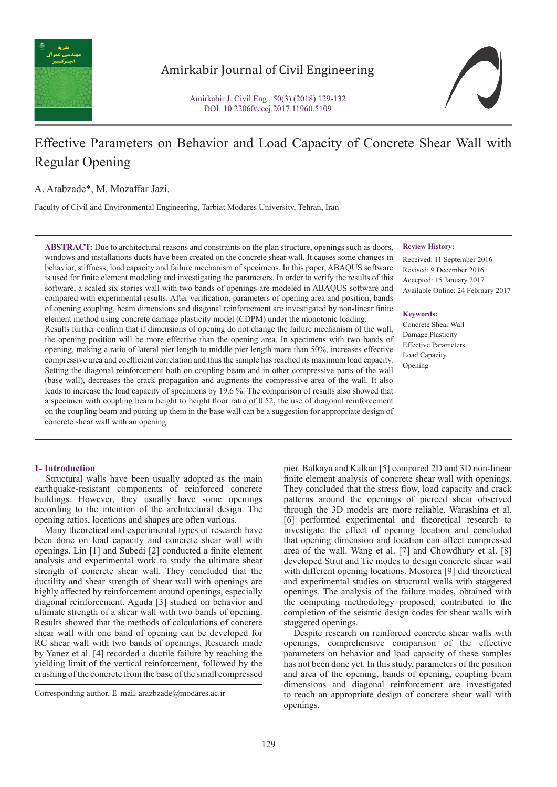

# Amirkabir Journal of Civil Engineering

Amirkabir J. Civil Eng., 50(3) (2018) 129-132 DOI: 10.22060/ceej.2017.11960.5109



# Effective Parameters on Behavior and Load Capacity of Concrete Shear Wall with Regular Opening

A. Arabzade\*, M. Mozaffar Jazi.

Faculty of Civil and Environmental Engineering, Tarbiat Modares University, Tehran, Iran

**ABSTRACT:** Due to architectural reasons and constraints on the plan structure, openings such as doors, windows and installations ducts have been created on the concrete shear wall. It causes some changes in behavior, stiffness, load capacity and failure mechanism of specimens. In this paper, ABAQUS software is used for finite element modeling and investigating the parameters. In order to verify the results of this software, a scaled six stories wall with two bands of openings are modeled in ABAQUS software and compared with experimental results. After verification, parameters of opening area and position, bands of opening coupling, beam dimensions and diagonal reinforcement are investigated by non-linear finite element method using concrete damage plasticity model (CDPM) under the monotonic loading.

Results further confirm that if dimensions of opening do not change the failure mechanism of the wall, the opening position will be more effective than the opening area. In specimens with two bands of opening, making a ratio of lateral pier length to middle pier length more than 50%, increases effective compressive area and coefficient correlation and thus the sample has reached its maximum load capacity. Setting the diagonal reinforcement both on coupling beam and in other compressive parts of the wall (base wall), decreases the crack propagation and augments the compressive area of the wall. It also leads to increase the load capacity of specimens by 19.6 %. The comparison of results also showed that a specimen with coupling beam height to height floor ratio of 0.52, the use of diagonal reinforcement on the coupling beam and putting up them in the base wall can be a suggestion for appropriate design of concrete shear wall with an opening.

### **1- Introduction**

 Structural walls have been usually adopted as the main earthquake-resistant components of reinforced concrete buildings. However, they usually have some openings according to the intention of the architectural design. The opening ratios, locations and shapes are often various.

 Many theoretical and experimental types of research have been done on load capacity and concrete shear wall with openings. Lin [1] and Subedi [2] conducted a finite element analysis and experimental work to study the ultimate shear strength of concrete shear wall. They concluded that the ductility and shear strength of shear wall with openings are highly affected by reinforcement around openings, especially diagonal reinforcement. Aguda [3] studied on behavior and ultimate strength of a shear wall with two bands of opening. Results showed that the methods of calculations of concrete shear wall with one band of opening can be developed for RC shear wall with two bands of openings. Research made by Yanez et al. [4] recorded a ductile failure by reaching the yielding limit of the vertical reinforcement, followed by the crushing of the concrete from the base of the small compressed

#### **Review History:**

Received: 11 September 2016 Revised: 9 December 2016 Accepted: 15 January 2017 Available Online: 24 February 2017

**Keywords:** Concrete Shear Wall Damage Plasticity Effective Parameters Load Capacity Opening

pier. Balkaya and Kalkan [5] compared 2D and 3D non-linear finite element analysis of concrete shear wall with openings. They concluded that the stress flow, load capacity and crack patterns around the openings of pierced shear observed through the 3D models are more reliable. Warashina et al. [6] performed experimental and theoretical research to investigate the effect of opening location and concluded that opening dimension and location can affect compressed area of the wall. Wang et al. [7] and Chowdhury et al. [8] developed Strut and Tie modes to design concrete shear wall with different opening locations. Mosorca [9] did theoretical and experimental studies on structural walls with staggered openings. The analysis of the failure modes, obtained with the computing methodology proposed, contributed to the completion of the seismic design codes for shear walls with staggered openings.

 Despite research on reinforced concrete shear walls with openings, comprehensive comparison of the effective parameters on behavior and load capacity of these samples has not been done yet. In this study, parameters of the position and area of the opening, bands of opening, coupling beam dimensions and diagonal reinforcement are investigated to reach an appropriate design of concrete shear wall with openings.

Corresponding author, E-mail: arazbzade@modares.ac.ir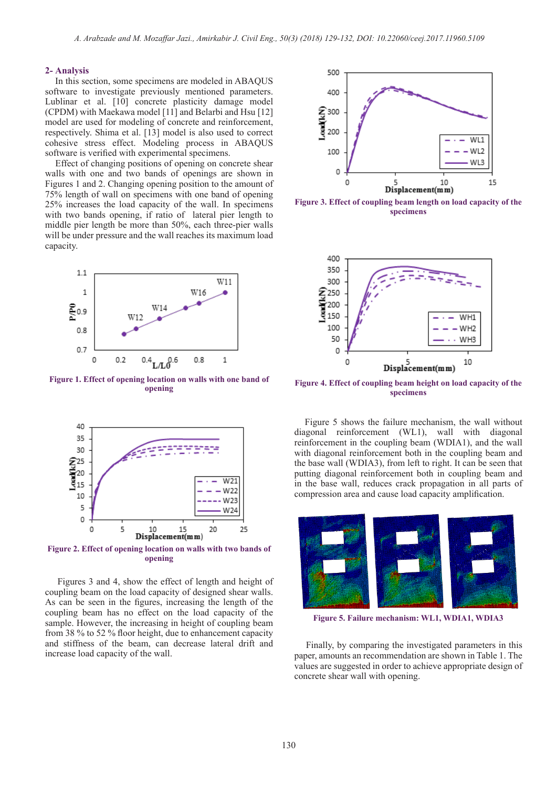#### **2- Analysis**

 In this section, some specimens are modeled in ABAQUS software to investigate previously mentioned parameters. Lublinar et al. [10] concrete plasticity damage model (CPDM) with Maekawa model [11] and Belarbi and Hsu [12] model are used for modeling of concrete and reinforcement, respectively. Shima et al. [13] model is also used to correct cohesive stress effect. Modeling process in ABAQUS software is verified with experimental specimens.

 Effect of changing positions of opening on concrete shear walls with one and two bands of openings are shown in Figures 1 and 2. Changing opening position to the amount of 75% length of wall on specimens with one band of opening 25% increases the load capacity of the wall. In specimens with two bands opening, if ratio of lateral pier length to middle pier length be more than 50%, each three-pier walls will be under pressure and the wall reaches its maximum load capacity.



**Figure 1. Effect of opening location on walls with one band of opening**



**Figure 2. Effect of opening location on walls with two bands of opening**

 Figures 3 and 4, show the effect of length and height of coupling beam on the load capacity of designed shear walls. As can be seen in the figures, increasing the length of the coupling beam has no effect on the load capacity of the sample. However, the increasing in height of coupling beam from 38 % to 52 % floor height, due to enhancement capacity and stiffness of the beam, can decrease lateral drift and increase load capacity of the wall.



**Figure 3. Effect of coupling beam length on load capacity of the specimens**



**Figure 4. Effect of coupling beam height on load capacity of the specimens**

 Figure 5 shows the failure mechanism, the wall without diagonal reinforcement (WL1), wall with diagonal reinforcement in the coupling beam (WDIA1), and the wall with diagonal reinforcement both in the coupling beam and the base wall (WDIA3), from left to right. It can be seen that putting diagonal reinforcement both in coupling beam and in the base wall, reduces crack propagation in all parts of compression area and cause load capacity amplification.



**Figure 5. Failure mechanism: WL1, WDIA1, WDIA3**

 Finally, by comparing the investigated parameters in this paper, amounts an recommendation are shown in Table 1. The values are suggested in order to achieve appropriate design of concrete shear wall with opening.